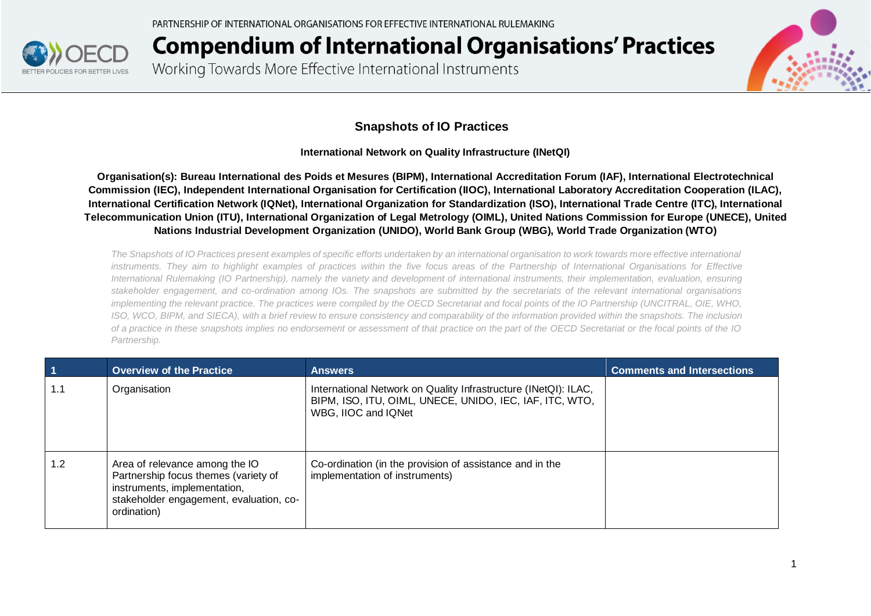

Working Towards More Effective International Instruments



#### **Snapshots of IO Practices**

**International Network on Quality Infrastructure (INetQI)**

**Organisation(s): Bureau International des Poids et Mesures (BIPM), International Accreditation Forum (IAF), International Electrotechnical Commission (IEC), Independent International Organisation for Certification (IIOC), International Laboratory Accreditation Cooperation (ILAC), International Certification Network (IQNet), International Organization for Standardization (ISO), International Trade Centre (ITC), International Telecommunication Union (ITU), International Organization of Legal Metrology (OIML), United Nations Commission for Europe (UNECE), United Nations Industrial Development Organization (UNIDO), World Bank Group (WBG), World Trade Organization (WTO)**

*The Snapshots of IO Practices present examples of specific efforts undertaken by an international organisation to work towards more effective international instruments. They aim to highlight examples of practices within the five focus areas of the Partnership of International Organisations for Effective International Rulemaking (IO Partnership), namely the variety and development of international instruments, their implementation, evaluation, ensuring stakeholder engagement, and co-ordination among IOs. The snapshots are submitted by the secretariats of the relevant international organisations implementing the relevant practice. The practices were compiled by the OECD Secretariat and focal points of the IO Partnership (UNCITRAL, OIE, WHO, ISO, WCO, BIPM, and SIECA), with a brief review to ensure consistency and comparability of the information provided within the snapshots. The inclusion of a practice in these snapshots implies no endorsement or assessment of that practice on the part of the OECD Secretariat or the focal points of the IO Partnership.*

| $\vert$ 1 | <b>Overview of the Practice</b>                                                                                                                                  | <b>Answers</b>                                                                                                                                    | <b>Comments and Intersections</b> |
|-----------|------------------------------------------------------------------------------------------------------------------------------------------------------------------|---------------------------------------------------------------------------------------------------------------------------------------------------|-----------------------------------|
| 1.1       | Organisation                                                                                                                                                     | International Network on Quality Infrastructure (INetQI): ILAC,<br>BIPM, ISO, ITU, OIML, UNECE, UNIDO, IEC, IAF, ITC, WTO,<br>WBG, IIOC and IQNet |                                   |
| 1.2       | Area of relevance among the IO<br>Partnership focus themes (variety of<br>instruments, implementation,<br>stakeholder engagement, evaluation, co-<br>ordination) | Co-ordination (in the provision of assistance and in the<br>implementation of instruments)                                                        |                                   |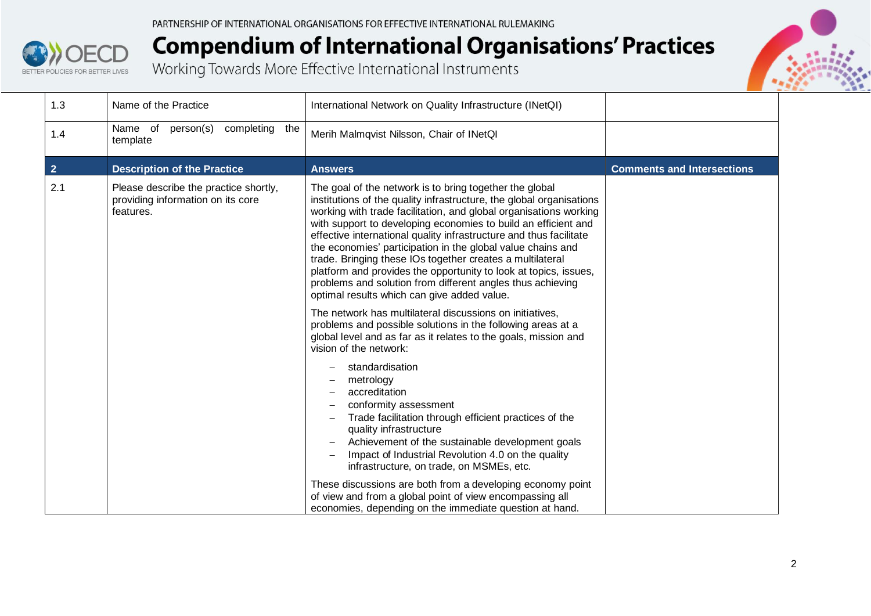



| 1.3            | Name of the Practice                                                                    | International Network on Quality Infrastructure (INetQI)                                                                                                                                                                                                                                                                                                                                                                                                                                                                                                                                                                                                                                                                                                                                                                                                                                                                                                                                                                                                                                                                                                                                                                                                                                                                                                                                  |                                   |
|----------------|-----------------------------------------------------------------------------------------|-------------------------------------------------------------------------------------------------------------------------------------------------------------------------------------------------------------------------------------------------------------------------------------------------------------------------------------------------------------------------------------------------------------------------------------------------------------------------------------------------------------------------------------------------------------------------------------------------------------------------------------------------------------------------------------------------------------------------------------------------------------------------------------------------------------------------------------------------------------------------------------------------------------------------------------------------------------------------------------------------------------------------------------------------------------------------------------------------------------------------------------------------------------------------------------------------------------------------------------------------------------------------------------------------------------------------------------------------------------------------------------------|-----------------------------------|
| 1.4            | Name of person(s)<br>completing<br>the<br>template                                      | Merih Malmqvist Nilsson, Chair of INetQI                                                                                                                                                                                                                                                                                                                                                                                                                                                                                                                                                                                                                                                                                                                                                                                                                                                                                                                                                                                                                                                                                                                                                                                                                                                                                                                                                  |                                   |
| $\overline{2}$ | <b>Description of the Practice</b>                                                      | <b>Answers</b>                                                                                                                                                                                                                                                                                                                                                                                                                                                                                                                                                                                                                                                                                                                                                                                                                                                                                                                                                                                                                                                                                                                                                                                                                                                                                                                                                                            | <b>Comments and Intersections</b> |
| 2.1            | Please describe the practice shortly,<br>providing information on its core<br>features. | The goal of the network is to bring together the global<br>institutions of the quality infrastructure, the global organisations<br>working with trade facilitation, and global organisations working<br>with support to developing economies to build an efficient and<br>effective international quality infrastructure and thus facilitate<br>the economies' participation in the global value chains and<br>trade. Bringing these IOs together creates a multilateral<br>platform and provides the opportunity to look at topics, issues,<br>problems and solution from different angles thus achieving<br>optimal results which can give added value.<br>The network has multilateral discussions on initiatives,<br>problems and possible solutions in the following areas at a<br>global level and as far as it relates to the goals, mission and<br>vision of the network:<br>standardisation<br>metrology<br>accreditation<br>conformity assessment<br>Trade facilitation through efficient practices of the<br>quality infrastructure<br>Achievement of the sustainable development goals<br>Impact of Industrial Revolution 4.0 on the quality<br>infrastructure, on trade, on MSMEs, etc.<br>These discussions are both from a developing economy point<br>of view and from a global point of view encompassing all<br>economies, depending on the immediate question at hand. |                                   |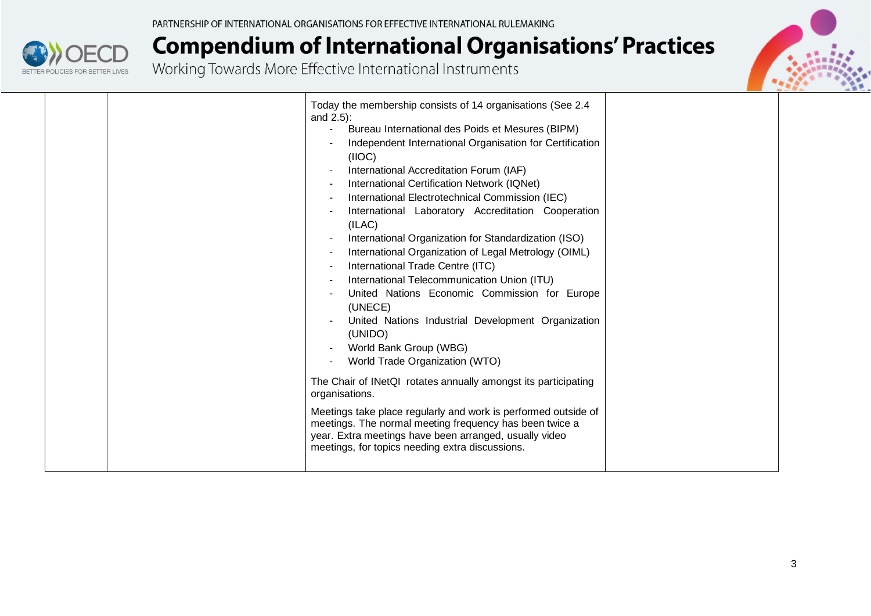

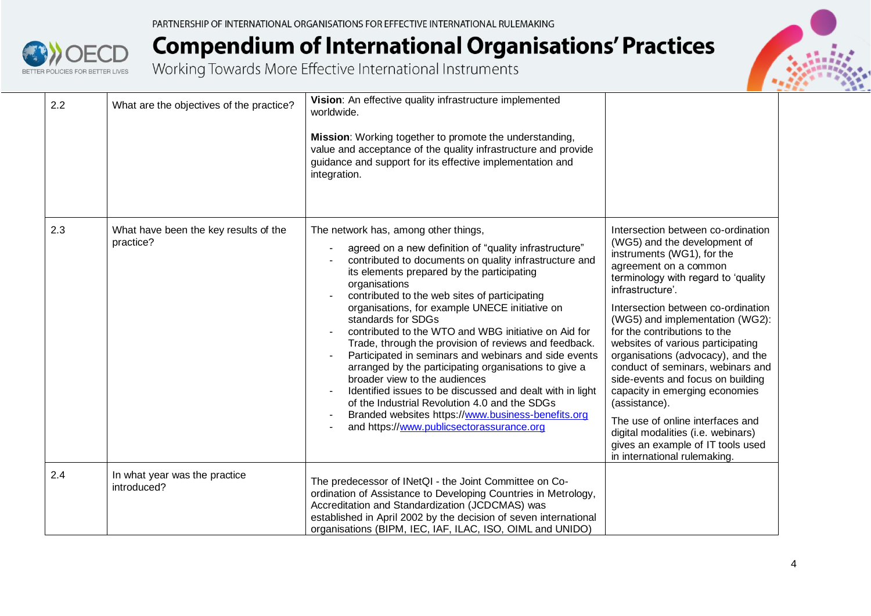

| 2.2 | What are the objectives of the practice?           | Vision: An effective quality infrastructure implemented<br>worldwide.<br>Mission: Working together to promote the understanding,<br>value and acceptance of the quality infrastructure and provide<br>guidance and support for its effective implementation and<br>integration.                                                                                                                                                                                                                                                                                                                                                                                                                                                                                                                                                                         |                                                                                                                                                                                                                                                                                                                                                                                                                                                                                                                                                                                                                                                     |
|-----|----------------------------------------------------|---------------------------------------------------------------------------------------------------------------------------------------------------------------------------------------------------------------------------------------------------------------------------------------------------------------------------------------------------------------------------------------------------------------------------------------------------------------------------------------------------------------------------------------------------------------------------------------------------------------------------------------------------------------------------------------------------------------------------------------------------------------------------------------------------------------------------------------------------------|-----------------------------------------------------------------------------------------------------------------------------------------------------------------------------------------------------------------------------------------------------------------------------------------------------------------------------------------------------------------------------------------------------------------------------------------------------------------------------------------------------------------------------------------------------------------------------------------------------------------------------------------------------|
| 2.3 | What have been the key results of the<br>practice? | The network has, among other things,<br>agreed on a new definition of "quality infrastructure"<br>contributed to documents on quality infrastructure and<br>its elements prepared by the participating<br>organisations<br>contributed to the web sites of participating<br>organisations, for example UNECE initiative on<br>standards for SDGs<br>contributed to the WTO and WBG initiative on Aid for<br>Trade, through the provision of reviews and feedback.<br>Participated in seminars and webinars and side events<br>arranged by the participating organisations to give a<br>broader view to the audiences<br>Identified issues to be discussed and dealt with in light<br>$\blacksquare$<br>of the Industrial Revolution 4.0 and the SDGs<br>Branded websites https://www.business-benefits.org<br>and https://www.publicsectorassurance.org | Intersection between co-ordination<br>(WG5) and the development of<br>instruments (WG1), for the<br>agreement on a common<br>terminology with regard to 'quality<br>infrastructure'.<br>Intersection between co-ordination<br>(WG5) and implementation (WG2):<br>for the contributions to the<br>websites of various participating<br>organisations (advocacy), and the<br>conduct of seminars, webinars and<br>side-events and focus on building<br>capacity in emerging economies<br>(assistance).<br>The use of online interfaces and<br>digital modalities (i.e. webinars)<br>gives an example of IT tools used<br>in international rulemaking. |
| 2.4 | In what year was the practice<br>introduced?       | The predecessor of INetQI - the Joint Committee on Co-<br>ordination of Assistance to Developing Countries in Metrology,<br>Accreditation and Standardization (JCDCMAS) was<br>established in April 2002 by the decision of seven international<br>organisations (BIPM, IEC, IAF, ILAC, ISO, OIML and UNIDO)                                                                                                                                                                                                                                                                                                                                                                                                                                                                                                                                            |                                                                                                                                                                                                                                                                                                                                                                                                                                                                                                                                                                                                                                                     |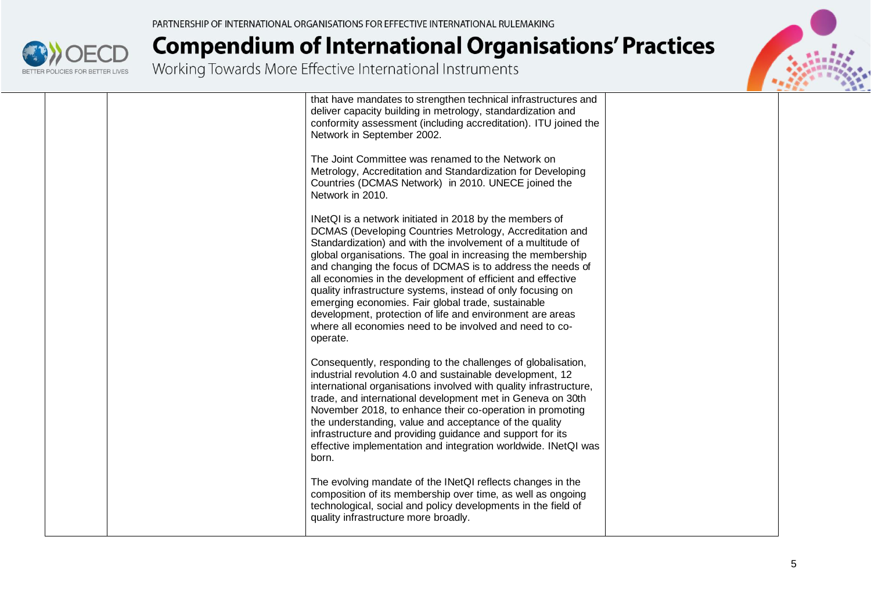

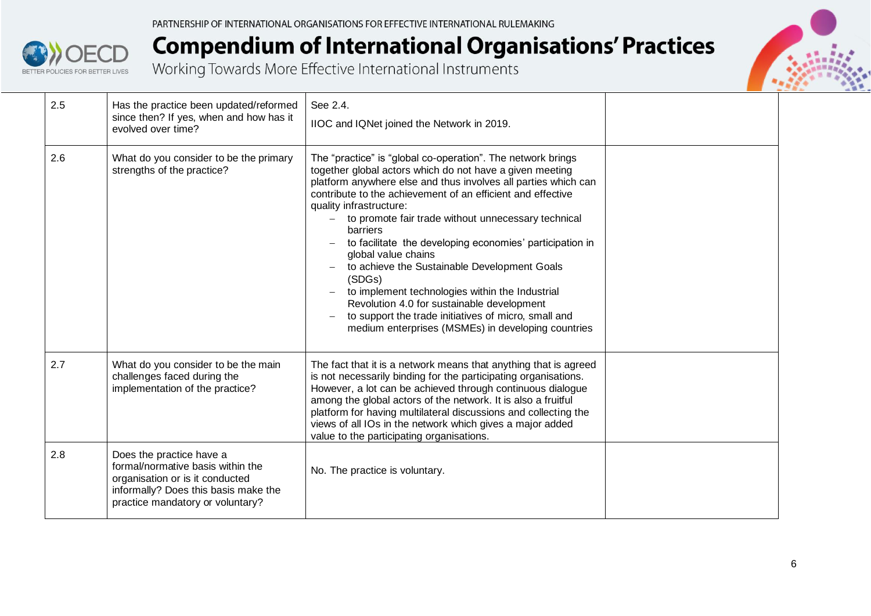



| 2.5 | Has the practice been updated/reformed<br>since then? If yes, when and how has it<br>evolved over time?                                                                      | See 2.4.<br>IIOC and IQNet joined the Network in 2019.                                                                                                                                                                                                                                                                                                                                                                                                                                                                                                                                                                                                                                                                                         |  |
|-----|------------------------------------------------------------------------------------------------------------------------------------------------------------------------------|------------------------------------------------------------------------------------------------------------------------------------------------------------------------------------------------------------------------------------------------------------------------------------------------------------------------------------------------------------------------------------------------------------------------------------------------------------------------------------------------------------------------------------------------------------------------------------------------------------------------------------------------------------------------------------------------------------------------------------------------|--|
| 2.6 | What do you consider to be the primary<br>strengths of the practice?                                                                                                         | The "practice" is "global co-operation". The network brings<br>together global actors which do not have a given meeting<br>platform anywhere else and thus involves all parties which can<br>contribute to the achievement of an efficient and effective<br>quality infrastructure:<br>to promote fair trade without unnecessary technical<br>barriers<br>to facilitate the developing economies' participation in<br>$\overline{\phantom{a}}$<br>global value chains<br>to achieve the Sustainable Development Goals<br>(SDGs)<br>to implement technologies within the Industrial<br>Revolution 4.0 for sustainable development<br>to support the trade initiatives of micro, small and<br>medium enterprises (MSMEs) in developing countries |  |
| 2.7 | What do you consider to be the main<br>challenges faced during the<br>implementation of the practice?                                                                        | The fact that it is a network means that anything that is agreed<br>is not necessarily binding for the participating organisations.<br>However, a lot can be achieved through continuous dialogue<br>among the global actors of the network. It is also a fruitful<br>platform for having multilateral discussions and collecting the<br>views of all IOs in the network which gives a major added<br>value to the participating organisations.                                                                                                                                                                                                                                                                                                |  |
| 2.8 | Does the practice have a<br>formal/normative basis within the<br>organisation or is it conducted<br>informally? Does this basis make the<br>practice mandatory or voluntary? | No. The practice is voluntary.                                                                                                                                                                                                                                                                                                                                                                                                                                                                                                                                                                                                                                                                                                                 |  |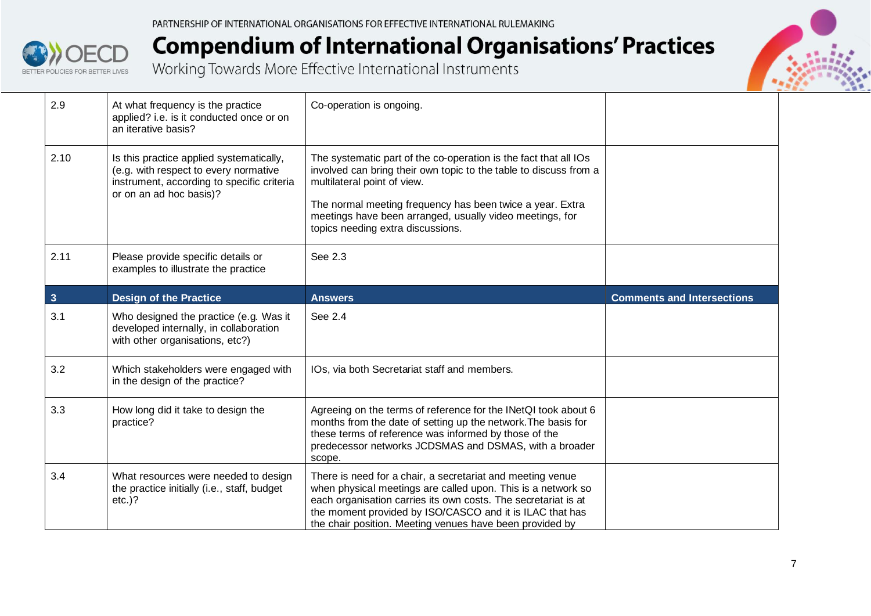



| 2.9            | At what frequency is the practice<br>applied? i.e. is it conducted once or on<br>an iterative basis?                                                       | Co-operation is ongoing.                                                                                                                                                                                                                                                                                                           |                                   |
|----------------|------------------------------------------------------------------------------------------------------------------------------------------------------------|------------------------------------------------------------------------------------------------------------------------------------------------------------------------------------------------------------------------------------------------------------------------------------------------------------------------------------|-----------------------------------|
| 2.10           | Is this practice applied systematically,<br>(e.g. with respect to every normative<br>instrument, according to specific criteria<br>or on an ad hoc basis)? | The systematic part of the co-operation is the fact that all IOs<br>involved can bring their own topic to the table to discuss from a<br>multilateral point of view.<br>The normal meeting frequency has been twice a year. Extra<br>meetings have been arranged, usually video meetings, for<br>topics needing extra discussions. |                                   |
| 2.11           | Please provide specific details or<br>examples to illustrate the practice                                                                                  | See 2.3                                                                                                                                                                                                                                                                                                                            |                                   |
| 3 <sup>1</sup> | <b>Design of the Practice</b>                                                                                                                              | <b>Answers</b>                                                                                                                                                                                                                                                                                                                     | <b>Comments and Intersections</b> |
| 3.1            | Who designed the practice (e.g. Was it<br>developed internally, in collaboration<br>with other organisations, etc?)                                        | See 2.4                                                                                                                                                                                                                                                                                                                            |                                   |
| 3.2            | Which stakeholders were engaged with<br>in the design of the practice?                                                                                     | IOs, via both Secretariat staff and members.                                                                                                                                                                                                                                                                                       |                                   |
| 3.3            | How long did it take to design the<br>practice?                                                                                                            | Agreeing on the terms of reference for the INetQI took about 6<br>months from the date of setting up the network. The basis for<br>these terms of reference was informed by those of the<br>predecessor networks JCDSMAS and DSMAS, with a broader<br>scope.                                                                       |                                   |
| 3.4            | What resources were needed to design<br>the practice initially (i.e., staff, budget<br>$etc.$ )?                                                           | There is need for a chair, a secretariat and meeting venue<br>when physical meetings are called upon. This is a network so<br>each organisation carries its own costs. The secretariat is at<br>the moment provided by ISO/CASCO and it is ILAC that has<br>the chair position. Meeting venues have been provided by               |                                   |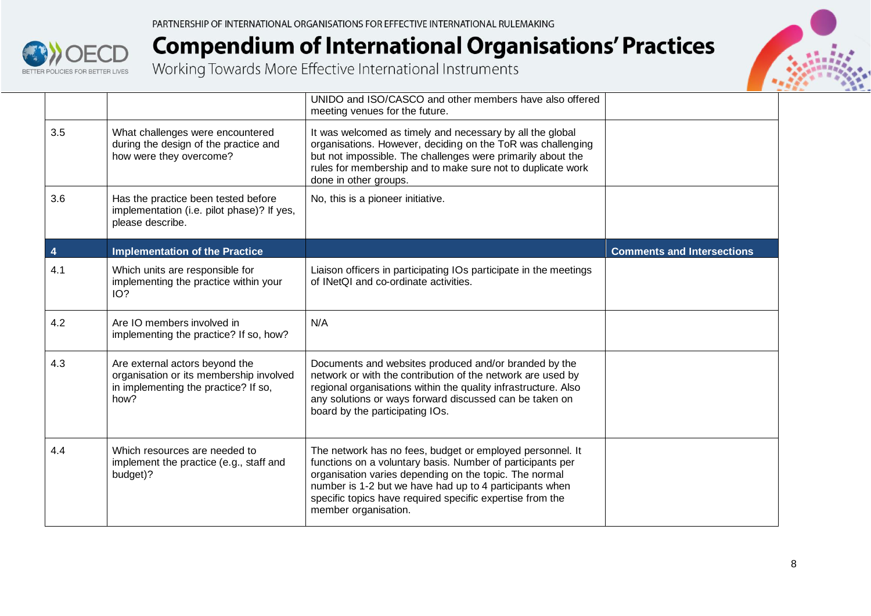



|     |                                                                                                                           | UNIDO and ISO/CASCO and other members have also offered<br>meeting venues for the future.                                                                                                                                                                                                                                         |                                   |
|-----|---------------------------------------------------------------------------------------------------------------------------|-----------------------------------------------------------------------------------------------------------------------------------------------------------------------------------------------------------------------------------------------------------------------------------------------------------------------------------|-----------------------------------|
| 3.5 | What challenges were encountered<br>during the design of the practice and<br>how were they overcome?                      | It was welcomed as timely and necessary by all the global<br>organisations. However, deciding on the ToR was challenging<br>but not impossible. The challenges were primarily about the<br>rules for membership and to make sure not to duplicate work<br>done in other groups.                                                   |                                   |
| 3.6 | Has the practice been tested before<br>implementation (i.e. pilot phase)? If yes,<br>please describe.                     | No, this is a pioneer initiative.                                                                                                                                                                                                                                                                                                 |                                   |
|     | <b>Implementation of the Practice</b>                                                                                     |                                                                                                                                                                                                                                                                                                                                   | <b>Comments and Intersections</b> |
| 4.1 | Which units are responsible for<br>implementing the practice within your<br>IO?                                           | Liaison officers in participating IOs participate in the meetings<br>of INetQI and co-ordinate activities.                                                                                                                                                                                                                        |                                   |
| 4.2 | Are IO members involved in<br>implementing the practice? If so, how?                                                      | N/A                                                                                                                                                                                                                                                                                                                               |                                   |
| 4.3 | Are external actors beyond the<br>organisation or its membership involved<br>in implementing the practice? If so,<br>how? | Documents and websites produced and/or branded by the<br>network or with the contribution of the network are used by<br>regional organisations within the quality infrastructure. Also<br>any solutions or ways forward discussed can be taken on<br>board by the participating IOs.                                              |                                   |
| 4.4 | Which resources are needed to<br>implement the practice (e.g., staff and<br>budget)?                                      | The network has no fees, budget or employed personnel. It<br>functions on a voluntary basis. Number of participants per<br>organisation varies depending on the topic. The normal<br>number is 1-2 but we have had up to 4 participants when<br>specific topics have required specific expertise from the<br>member organisation. |                                   |